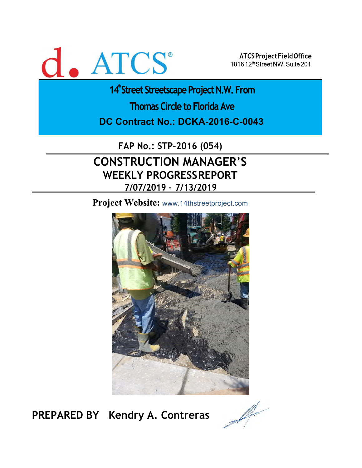# d. ATCS<sup>®</sup>

ATCS Project Field Office 1816 12th Street NW, Suite 201

14<sup>th</sup>Street Streetscape Project N.W. From

**Thomas Circle to Florida Ave** 

**DC Contract No.: DCKA-2016-C-0043** 

**FAP No.: STP-2016 (054)**

# **CONSTRUCTION MANAGER'S WEEKLY PROGRESS REPORT 7/07/2019 – 7/13/2019**

**Project Website:** www.14thstreetproject.com



**PREPARED BY Kendry A. Contreras**

A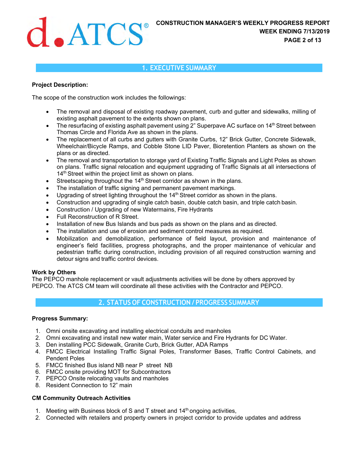# **1. EXECUTIVE SUMMARY**

### **Project Description:**

The scope of the construction work includes the followings:

- The removal and disposal of existing roadway pavement, curb and gutter and sidewalks, milling of existing asphalt pavement to the extents shown on plans.
- $\bullet$  The resurfacing of existing asphalt pavement using 2" Superpave AC surface on 14<sup>th</sup> Street between Thomas Circle and Florida Ave as shown in the plans.
- The replacement of all curbs and gutters with Granite Curbs, 12" Brick Gutter, Concrete Sidewalk, Wheelchair/Bicycle Ramps, and Cobble Stone LID Paver, Bioretention Planters as shown on the plans or as directed.
- The removal and transportation to storage yard of Existing Traffic Signals and Light Poles as shown on plans. Traffic signal relocation and equipment upgrading of Traffic Signals at all intersections of 14<sup>th</sup> Street within the project limit as shown on plans.
- Streetscaping throughout the 14<sup>th</sup> Street corridor as shown in the plans.
- The installation of traffic signing and permanent pavement markings.
- Upgrading of street lighting throughout the 14<sup>th</sup> Street corridor as shown in the plans.
- Construction and upgrading of single catch basin, double catch basin, and triple catch basin.
- Construction / Upgrading of new Watermains, Fire Hydrants
- Full Reconstruction of R Street.
- Installation of new Bus Islands and bus pads as shown on the plans and as directed.
- The installation and use of erosion and sediment control measures as required.
- Mobilization and demobilization, performance of field layout, provision and maintenance of engineer's field facilities, progress photographs, and the proper maintenance of vehicular and pedestrian traffic during construction, including provision of all required construction warning and detour signs and traffic control devices.

### **Work by Others**

The PEPCO manhole replacement or vault adjustments activities will be done by others approved by PEPCO. The ATCS CM team will coordinate all these activities with the Contractor and PEPCO.

# **2. STATUS OF CONSTRUCTION / PROGRESS SUMMARY**

### **Progress Summary:**

- 1. Omni onsite excavating and installing electrical conduits and manholes
- 2. Omni excavating and install new water main, Water service and Fire Hydrants for DC Water.
- 3. Den installing PCC Sidewalk, Granite Curb, Brick Gutter, ADA Ramps
- 4. FMCC Electrical Installing Traffic Signal Poles, Transformer Bases, Traffic Control Cabinets, and Pendent Poles
- 5. FMCC finished Bus island NB near P street NB
- 6. FMCC onsite providing MOT for Subcontractors
- 7. PEPCO Onsite relocating vaults and manholes
- 8. Resident Connection to 12" main

### **CM Community Outreach Activities**

- 1. Meeting with Business block of S and T street and  $14<sup>th</sup>$  ongoing activities,
- 2. Connected with retailers and property owners in project corridor to provide updates and address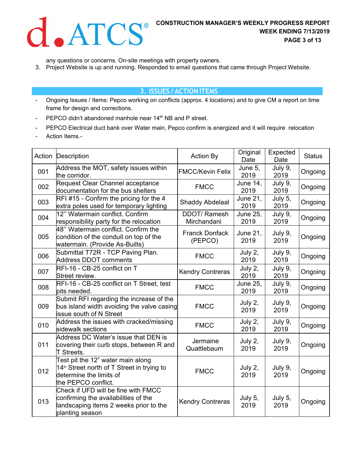

any questions or concerns. On-site meetings with property owners.

3. Project Website is up and running. Responded to email questions that came through Project Website.

### **3. ISSUES / ACTION ITEMS**

- Ongoing Issues / Items: Pepco working on conflicts (approx. 4 locations) and to give CM a report on time frame for design and corrections.
- PEPCO didn't abandoned manhole near 14<sup>th</sup> NB and P street.
- PEPCO Electrical duct bank over Water main, Pepco confirm is energized and it will require relocation
- Action Items.-

| Action | Description                                                                                                                                   | <b>Action By</b>                  | Original<br>Date        | Expected<br>Date | <b>Status</b> |
|--------|-----------------------------------------------------------------------------------------------------------------------------------------------|-----------------------------------|-------------------------|------------------|---------------|
| 001    | Address the MOT, safety issues within<br>the corridor.                                                                                        | <b>FMCC/Kevin Felix</b>           | June 5,<br>2019         | July 9,<br>2019  | Ongoing       |
| 002    | Request Clear Channel acceptance<br>documentation for the bus shelters                                                                        | <b>FMCC</b>                       | <b>June 14,</b><br>2019 | July 9,<br>2019  | Ongoing       |
| 003    | $RFI$ #15 - Confirm the pricing for the 4<br>extra poles used for temporary lighting                                                          | <b>Shaddy Abdelaal</b>            | <b>June 21,</b><br>2019 | July 5,<br>2019  | Ongoing       |
| 004    | 12" Watermain conflict. Confirm<br>responsibility party for the relocation                                                                    | <b>DDOT/Ramesh</b><br>Mirchandani | <b>June 25.</b><br>2019 | July 9,<br>2019  | Ongoing       |
| 005    | 48" Watermain conflict. Confirm the<br>condition of the conduit on top of the<br>watermain. (Provide As-Builts)                               | <b>Franck Donfack</b><br>(PEPCO)  | June 21,<br>2019        | July 9,<br>2019  | Ongoing       |
| 006    | Submittal T72R - TCP Paving Plan.<br><b>Address DDOT comments</b>                                                                             | <b>FMCC</b>                       | July 2,<br>2019         | July 9,<br>2019  | Ongoing       |
| 007    | RFI-16 - CB-25 conflict on T<br>Street review.                                                                                                | <b>Kendry Contreras</b>           | July 2,<br>2019         | July 9,<br>2019  | Ongoing       |
| 008    | RFI-16 - CB-25 conflict on T Street, test<br>pits needed.                                                                                     | <b>FMCC</b>                       | <b>June 25,</b><br>2019 | July 9,<br>2019  | Ongoing       |
| 009    | Submit RFI regarding the increase of the<br>bus island width avoiding the valve casing<br>issue south of N Street                             | <b>FMCC</b>                       | July 2,<br>2019         | July 9,<br>2019  | Ongoing       |
| 010    | Address the issues with cracked/missing<br>sidewalk sections                                                                                  | <b>FMCC</b>                       | July 2,<br>2019         | July 9,<br>2019  | Ongoing       |
| 011    | Address DC Water's issue that DEN is<br>covering their curb stops, between R and<br>T Streets.                                                | Jermaine<br>Quattlebaum           | July 2,<br>2019         | July 9,<br>2019  | Ongoing       |
| 012    | Test pit the 12" water main along<br>14 <sup>th</sup> Street north of T Street in trying to<br>determine the limits of<br>the PEPCO conflict. | <b>FMCC</b>                       | July 2,<br>2019         | July 9,<br>2019  | Ongoing       |
| 013    | Check if UFD will be fine with FMCC<br>confirming the availabilities of the<br>landscaping items 2 weeks prior to the<br>planting season      | <b>Kendry Contreras</b>           | July 5,<br>2019         | July 5,<br>2019  | Ongoing       |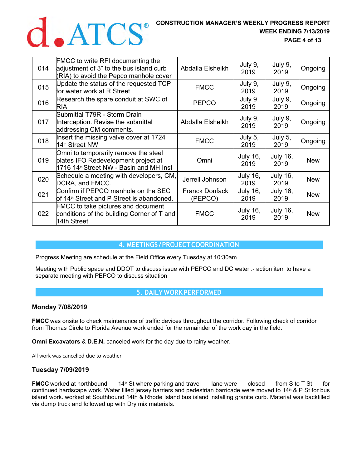| 014 | <b>FMCC</b> to write RFI documenting the<br>adjustment of 3" to the bus island curb<br>(RIA) to avoid the Pepco manhole cover      | Abdalla Elsheikh                 | July 9,<br>2019         | July 9,<br>2019         | Ongoing    |
|-----|------------------------------------------------------------------------------------------------------------------------------------|----------------------------------|-------------------------|-------------------------|------------|
| 015 | Update the status of the requested TCP<br>for water work at R Street                                                               | <b>FMCC</b>                      | July 9,<br>2019         | July 9,<br>2019         | Ongoing    |
| 016 | Research the spare conduit at SWC of<br>RIA                                                                                        | <b>PEPCO</b>                     | July 9,<br>2019         | July 9,<br>2019         | Ongoing    |
| 017 | Submittal T79R - Storm Drain<br>Interception. Revise the submittal<br>addressing CM comments.                                      | Abdalla Elsheikh                 | July 9,<br>2019         | July 9,<br>2019         | Ongoing    |
| 018 | Insert the missing valve cover at 1724<br>14 <sup>th</sup> Street NW                                                               | <b>FMCC</b>                      | July 5,<br>2019         | July 5,<br>2019         | Ongoing    |
| 019 | Omni to temporarily remove the steel<br>plates IFO Redevelopment project at<br>1716 14 <sup>th</sup> Street NW - Basin and MH Inst | Omni                             | <b>July 16,</b><br>2019 | <b>July 16,</b><br>2019 | <b>New</b> |
| 020 | Schedule a meeting with developers, CM,<br>DCRA, and FMCC.                                                                         | Jerrell Johnson                  | <b>July 16,</b><br>2019 | <b>July 16,</b><br>2019 | <b>New</b> |
| 021 | Confirm if PEPCO manhole on the SEC<br>of 14 <sup>th</sup> Street and P Street is abandoned.                                       | <b>Franck Donfack</b><br>(PEPCO) | July 16,<br>2019        | <b>July 16,</b><br>2019 | <b>New</b> |
| 022 | <b>FMCC</b> to take pictures and document<br>conditions of the building Corner of T and<br>14th Street                             | <b>FMCC</b>                      | <b>July 16,</b><br>2019 | <b>July 16,</b><br>2019 | <b>New</b> |

# **4. MEETINGS / PROJECT COORDINATION**

Progress Meeting are schedule at the Field Office every Tuesday at 10:30am

Meeting with Public space and DDOT to discuss issue with PEPCO and DC water .- action item to have a separate meeting with PEPCO to discuss situation

### **5. DAILY WORK PERFORMED**

### **Monday 7/08/2019**

**FMCC** was onsite to check maintenance of traffic devices throughout the corridor. Following check of corridor from Thomas Circle to Florida Avenue work ended for the remainder of the work day in the field.

**Omni Excavators** & **D.E.N.** canceled work for the day due to rainy weather.

All work was cancelled due to weather

## **Tuesday 7/09/2019**

**FMCC** worked at northbound 14<sup>th</sup> St where parking and travel lane were closed from S to T St for continued hardscape work. Water filled jersey barriers and pedestrian barricade were moved to 14<sup>th</sup> & P St for bus island work. worked at Southbound 14th & Rhode Island bus island installing granite curb. Material was backfilled via dump truck and followed up with Dry mix materials.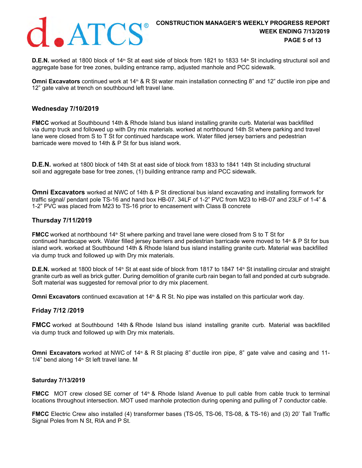

**D.E.N.** worked at 1800 block of 14<sup>th</sup> St at east side of block from 1821 to 1833 14<sup>th</sup> St including structural soil and aggregate base for tree zones, building entrance ramp, adjusted manhole and PCC sidewalk.

**Omni Excavators** continued work at 14<sup>th</sup> & R St water main installation connecting 8" and 12" ductile iron pipe and 12" gate valve at trench on southbound left travel lane.

### **Wednesday 7/10/2019**

**FMCC** worked at Southbound 14th & Rhode Island bus island installing granite curb. Material was backfilled via dump truck and followed up with Dry mix materials. worked at northbound 14th St where parking and travel lane were closed from S to T St for continued hardscape work. Water filled jersey barriers and pedestrian barricade were moved to 14th & P St for bus island work.

**D.E.N.** worked at 1800 block of 14th St at east side of block from 1833 to 1841 14th St including structural soil and aggregate base for tree zones, (1) building entrance ramp and PCC sidewalk.

**Omni Excavators** worked at NWC of 14th & P St directional bus island excavating and installing formwork for traffic signal/ pendant pole TS-16 and hand box HB-07. 34LF of 1-2" PVC from M23 to HB-07 and 23LF of 1-4" & 1-2" PVC was placed from M23 to TS-16 prior to encasement with Class B concrete

### **Thursday 7/11/2019**

**FMCC** worked at northbound 14<sup>th</sup> St where parking and travel lane were closed from S to T St for continued hardscape work. Water filled jersey barriers and pedestrian barricade were moved to  $14<sup>th</sup>$  & P St for bus island work. worked at Southbound 14th & Rhode Island bus island installing granite curb. Material was backfilled via dump truck and followed up with Dry mix materials.

**D.E.N.** worked at 1800 block of 14<sup>th</sup> St at east side of block from 1817 to 1847 14<sup>th</sup> St installing circular and straight granite curb as well as brick gutter. During demolition of granite curb rain began to fall and ponded at curb subgrade. Soft material was suggested for removal prior to dry mix placement.

**Omni Excavators** continued excavation at 14<sup>th</sup> & R St. No pipe was installed on this particular work day.

### **Friday 7/12 /2019**

**FMCC** worked at Southbound 14th & Rhode Island bus island installing granite curb. Material was backfilled via dump truck and followed up with Dry mix materials.

**Omni Excavators** worked at NWC of 14<sup>th</sup> & R St placing 8" ductile iron pipe, 8" gate valve and casing and 11- $1/4$ " bend along  $14<sup>th</sup>$  St left travel lane. M

### **Saturday 7/13/2019**

**FMCC** MOT crew closed SE corner of 14<sup>th</sup> & Rhode Island Avenue to pull cable from cable truck to terminal locations throughout intersection. MOT used manhole protection during opening and pulling of 7 conductor cable.

**FMCC** Electric Crew also installed (4) transformer bases (TS-05, TS-06, TS-08, & TS-16) and (3) 20' Tall Traffic Signal Poles from N St, RIA and P St.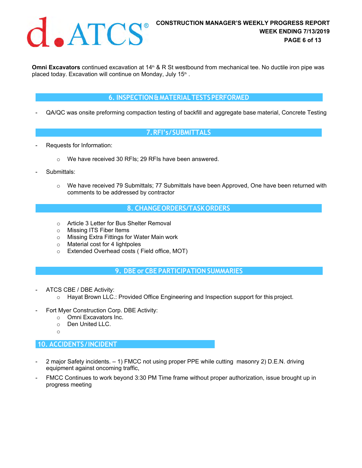

**Omni Excavators** continued excavation at 14<sup>th</sup> & R St westbound from mechanical tee. No ductile iron pipe was placed today. Excavation will continue on Monday, July 15<sup>th</sup>.

### **6. INSPECTION & MATERIAL TESTS PERFORMED**

- QA/QC was onsite preforming compaction testing of backfill and aggregate base material, Concrete Testing

### **7. RFI's / SUBMITTALS**

- Requests for Information:
	- o We have received 30 RFIs; 29 RFIs have been answered.
- Submittals:
	- o We have received 79 Submittals; 77 Submittals have been Approved, One have been returned with comments to be addressed by contractor

### **8. CHANGE ORDERS/TASK ORDERS**

- o Article 3 Letter for Bus Shelter Removal
- o Missing ITS Fiber Items
- o Missing Extra Fittings for Water Main work
- o Material cost for 4 lightpoles
- o Extended Overhead costs ( Field office, MOT)

### **9. DBE or CBE PARTICIPATION SUMMARIES**

- ATCS CBE / DBE Activity:
	- o Hayat Brown LLC.: Provided Office Engineering and Inspection support for this project.
- Fort Myer Construction Corp. DBE Activity:
	- o Omni Excavators Inc.
	- o Den United LLC.
	- o

### **10. ACCIDENTS / INCIDENT**

- 2 major Safety incidents. 1) FMCC not using proper PPE while cutting masonry 2) D.E.N. driving equipment against oncoming traffic,
- FMCC Continues to work beyond 3:30 PM Time frame without proper authorization, issue brought up in progress meeting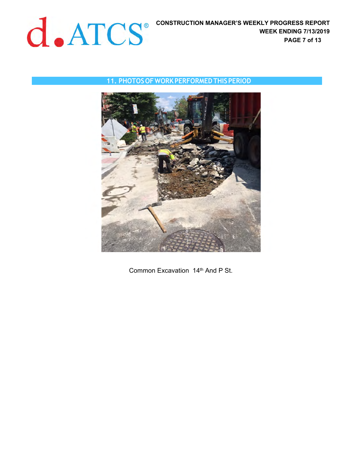

# **11. PHOTOS OF WORK PERFORMED THIS PERIOD**



Common Excavation 14<sup>th</sup> And P St.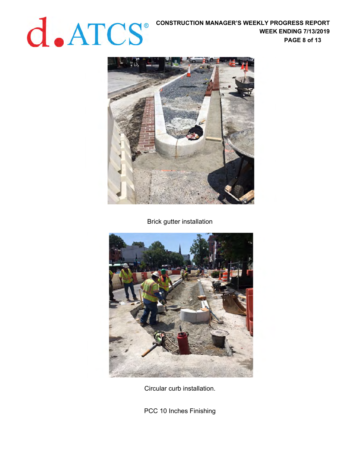

Brick gutter installation



Circular curb installation.

PCC 10 Inches Finishing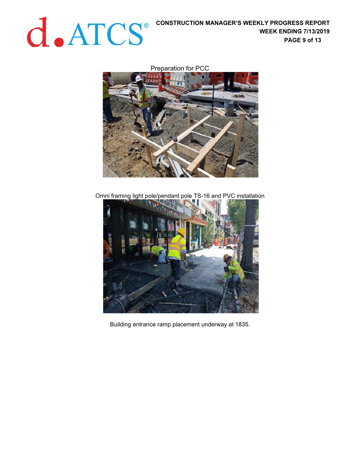

Preparation for PCC



Omni framing light pole/pendant pole TS-16 and PVC installation



Building entrance ramp placement underway at 1835.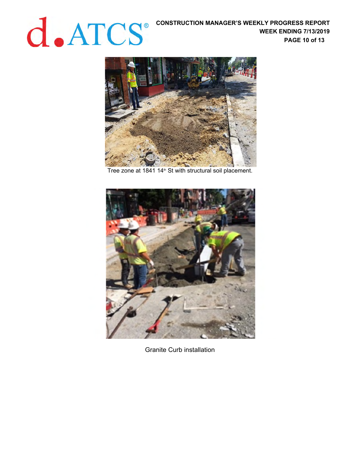**CONSTRUCTION MANAGER'S WEEKLY PROGRESS REPORT WEEK ENDING 7/13/2019**<br>PAGE 10 of 13 **WEEK ENDING 7/13/2019 PAGE 10 of 13** 



Tree zone at 1841 14<sup>th</sup> St with structural soil placement.



Granite Curb installation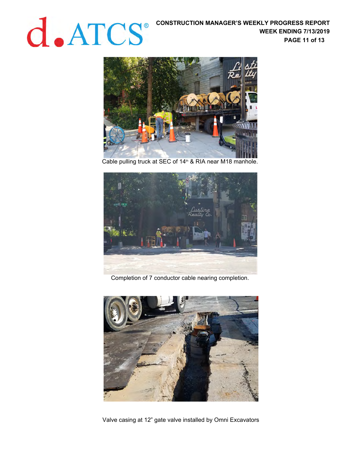

Cable pulling truck at SEC of 14<sup>th</sup> & RIA near M18 manhole.



Completion of 7 conductor cable nearing completion.



Valve casing at 12" gate valve installed by Omni Excavators